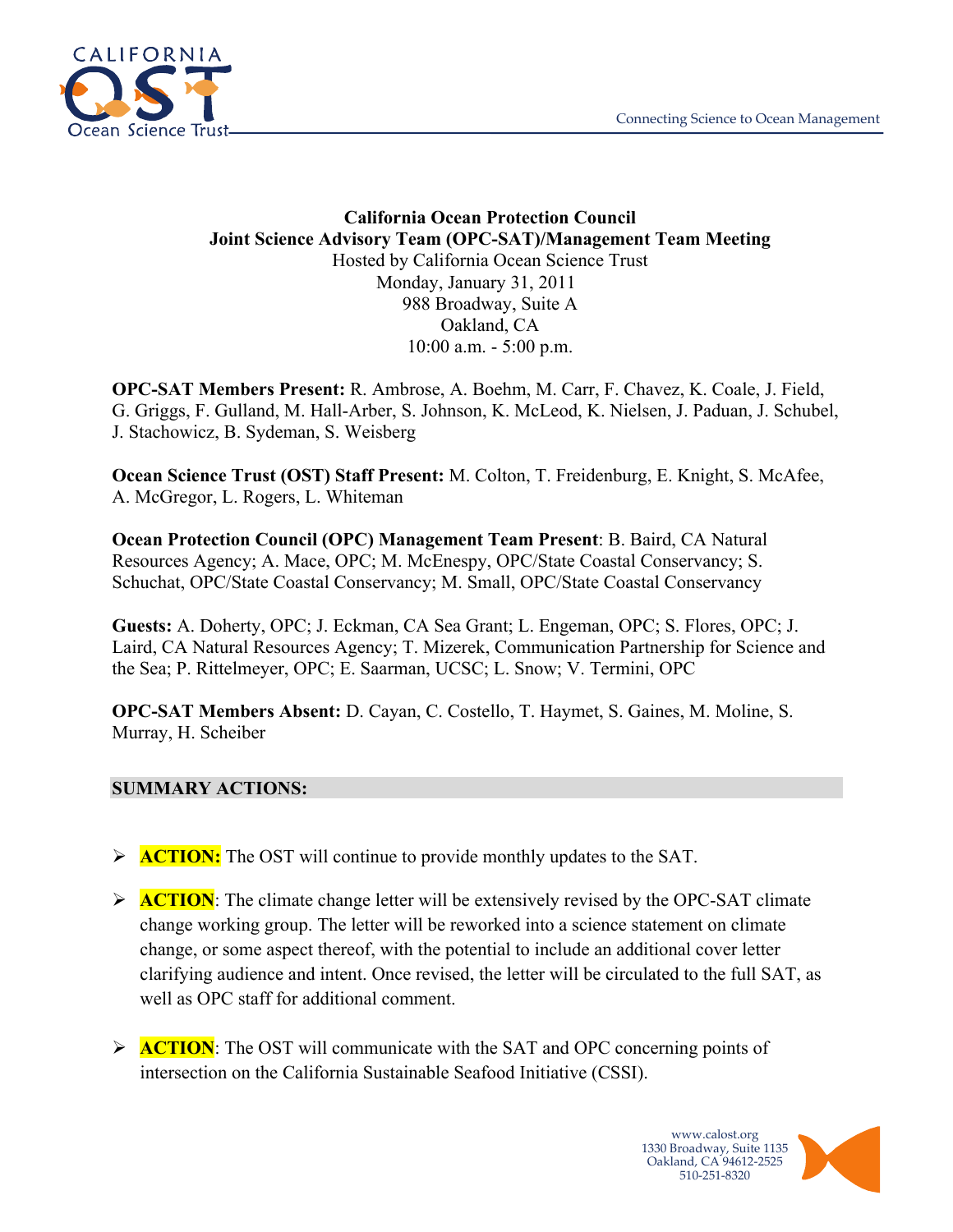

#### **California Ocean Protection Council Joint Science Advisory Team (OPC-SAT)/Management Team Meeting** Hosted by California Ocean Science Trust Monday, January 31, 2011 988 Broadway, Suite A Oakland, CA 10:00 a.m. - 5:00 p.m.

**OPC-SAT Members Present:** R. Ambrose, A. Boehm, M. Carr, F. Chavez, K. Coale, J. Field, G. Griggs, F. Gulland, M. Hall-Arber, S. Johnson, K. McLeod, K. Nielsen, J. Paduan, J. Schubel, J. Stachowicz, B. Sydeman, S. Weisberg

**Ocean Science Trust (OST) Staff Present:** M. Colton, T. Freidenburg, E. Knight, S. McAfee, A. McGregor, L. Rogers, L. Whiteman

**Ocean Protection Council (OPC) Management Team Present**: B. Baird, CA Natural Resources Agency; A. Mace, OPC; M. McEnespy, OPC/State Coastal Conservancy; S. Schuchat, OPC/State Coastal Conservancy; M. Small, OPC/State Coastal Conservancy

**Guests:** A. Doherty, OPC; J. Eckman, CA Sea Grant; L. Engeman, OPC; S. Flores, OPC; J. Laird, CA Natural Resources Agency; T. Mizerek, Communication Partnership for Science and the Sea; P. Rittelmeyer, OPC; E. Saarman, UCSC; L. Snow; V. Termini, OPC

**OPC-SAT Members Absent:** D. Cayan, C. Costello, T. Haymet, S. Gaines, M. Moline, S. Murray, H. Scheiber

#### **SUMMARY ACTIONS:**

- **ACTION:** The OST will continue to provide monthly updates to the SAT.
- **ACTION:** The climate change letter will be extensively revised by the OPC-SAT climate change working group. The letter will be reworked into a science statement on climate change, or some aspect thereof, with the potential to include an additional cover letter clarifying audience and intent. Once revised, the letter will be circulated to the full SAT, as well as OPC staff for additional comment.
- **ACTION**: The OST will communicate with the SAT and OPC concerning points of intersection on the California Sustainable Seafood Initiative (CSSI).

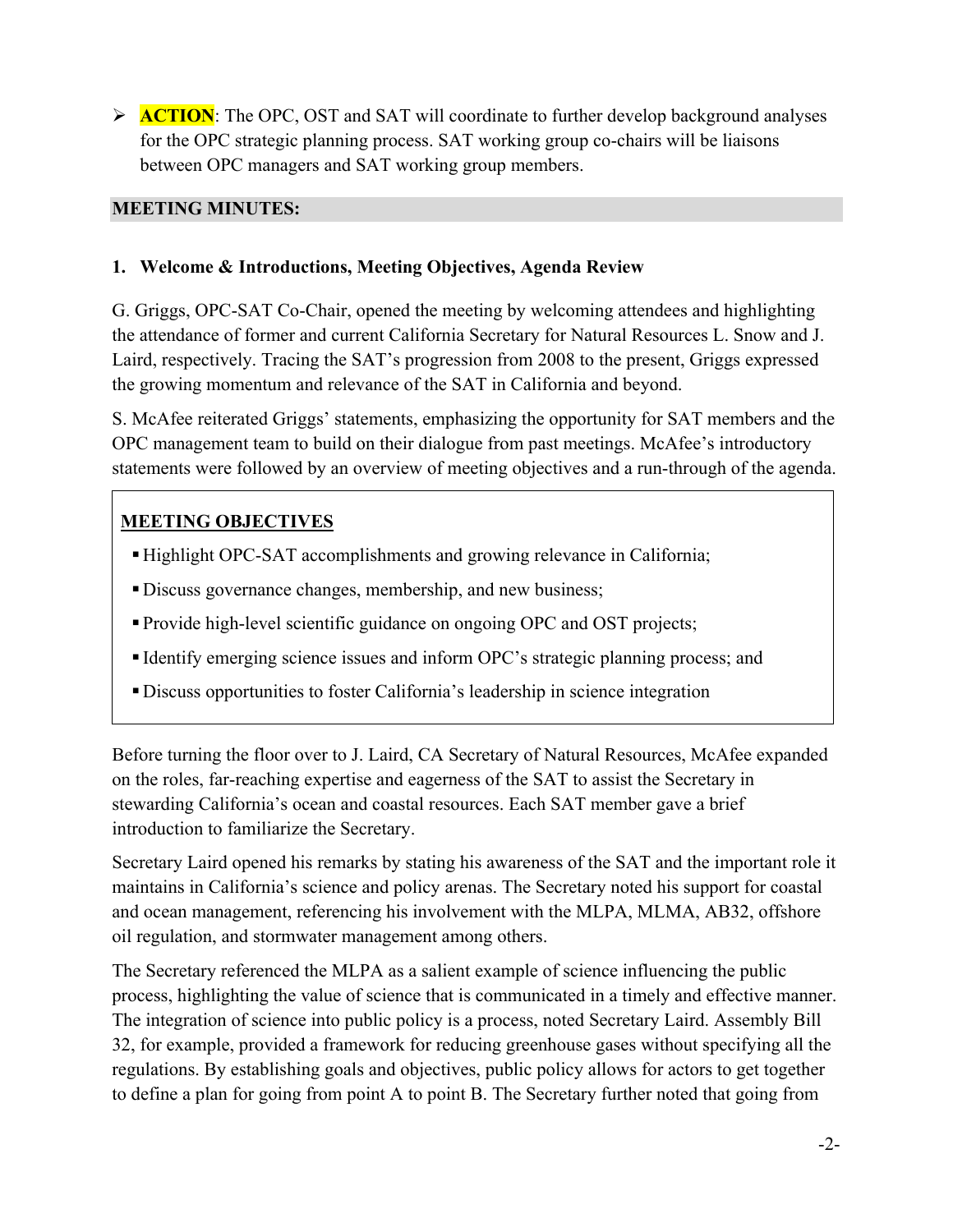**ACTION:** The OPC, OST and SAT will coordinate to further develop background analyses for the OPC strategic planning process. SAT working group co-chairs will be liaisons between OPC managers and SAT working group members.

#### **MEETING MINUTES:**

### **1. Welcome & Introductions, Meeting Objectives, Agenda Review**

G. Griggs, OPC-SAT Co-Chair, opened the meeting by welcoming attendees and highlighting the attendance of former and current California Secretary for Natural Resources L. Snow and J. Laird, respectively. Tracing the SAT's progression from 2008 to the present, Griggs expressed the growing momentum and relevance of the SAT in California and beyond.

S. McAfee reiterated Griggs' statements, emphasizing the opportunity for SAT members and the OPC management team to build on their dialogue from past meetings. McAfee's introductory statements were followed by an overview of meeting objectives and a run-through of the agenda.

# **MEETING OBJECTIVES**

- Highlight OPC-SAT accomplishments and growing relevance in California;
- Discuss governance changes, membership, and new business;
- Provide high-level scientific guidance on ongoing OPC and OST projects;
- Identify emerging science issues and inform OPC's strategic planning process; and
- Discuss opportunities to foster California's leadership in science integration

Before turning the floor over to J. Laird, CA Secretary of Natural Resources, McAfee expanded on the roles, far-reaching expertise and eagerness of the SAT to assist the Secretary in stewarding California's ocean and coastal resources. Each SAT member gave a brief introduction to familiarize the Secretary.

Secretary Laird opened his remarks by stating his awareness of the SAT and the important role it maintains in California's science and policy arenas. The Secretary noted his support for coastal and ocean management, referencing his involvement with the MLPA, MLMA, AB32, offshore oil regulation, and stormwater management among others.

The Secretary referenced the MLPA as a salient example of science influencing the public process, highlighting the value of science that is communicated in a timely and effective manner. The integration of science into public policy is a process, noted Secretary Laird. Assembly Bill 32, for example, provided a framework for reducing greenhouse gases without specifying all the regulations. By establishing goals and objectives, public policy allows for actors to get together to define a plan for going from point A to point B. The Secretary further noted that going from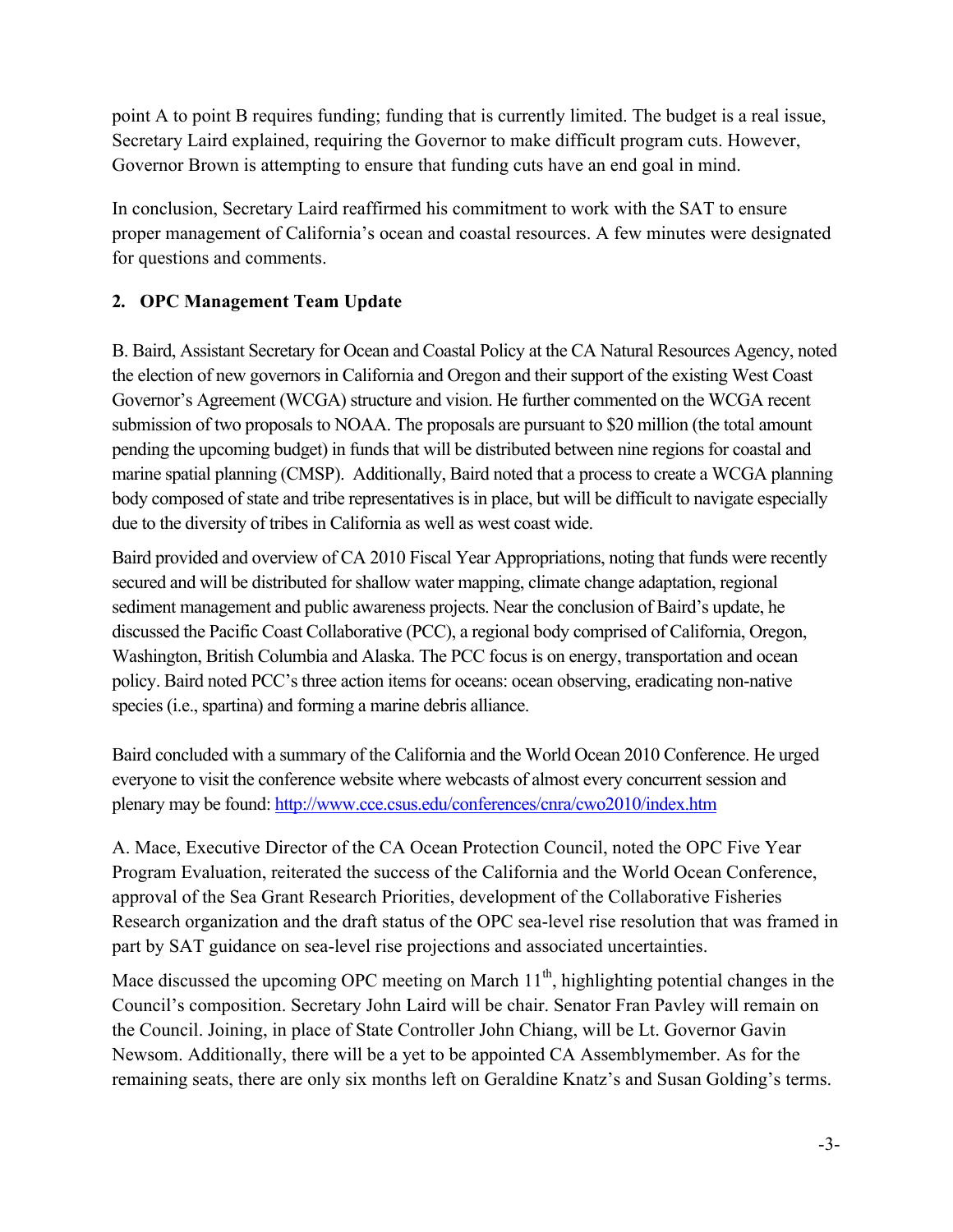point A to point B requires funding; funding that is currently limited. The budget is a real issue, Secretary Laird explained, requiring the Governor to make difficult program cuts. However, Governor Brown is attempting to ensure that funding cuts have an end goal in mind.

In conclusion, Secretary Laird reaffirmed his commitment to work with the SAT to ensure proper management of California's ocean and coastal resources. A few minutes were designated for questions and comments.

# **2. OPC Management Team Update**

B. Baird, Assistant Secretary for Ocean and Coastal Policy at the CA Natural Resources Agency, noted the election of new governors in California and Oregon and their support of the existing West Coast Governor's Agreement (WCGA) structure and vision. He further commented on the WCGA recent submission of two proposals to NOAA. The proposals are pursuant to \$20 million (the total amount pending the upcoming budget) in funds that will be distributed between nine regions for coastal and marine spatial planning (CMSP). Additionally, Baird noted that a process to create a WCGA planning body composed of state and tribe representatives is in place, but will be difficult to navigate especially due to the diversity of tribes in California as well as west coast wide.

Baird provided and overview of CA 2010 Fiscal Year Appropriations, noting that funds were recently secured and will be distributed for shallow water mapping, climate change adaptation, regional sediment management and public awareness projects. Near the conclusion of Baird's update, he discussed the Pacific Coast Collaborative (PCC), a regional body comprised of California, Oregon, Washington, British Columbia and Alaska. The PCC focus is on energy, transportation and ocean policy. Baird noted PCC's three action items for oceans: ocean observing, eradicating non-native species (i.e., spartina) and forming a marine debris alliance.

Baird concluded with a summary of the California and the World Ocean 2010 Conference. He urged everyone to visit the conference website where webcasts of almost every concurrent session and plenary may be found: http://www.cce.csus.edu/conferences/cnra/cwo2010/index.htm

A. Mace, Executive Director of the CA Ocean Protection Council, noted the OPC Five Year Program Evaluation, reiterated the success of the California and the World Ocean Conference, approval of the Sea Grant Research Priorities, development of the Collaborative Fisheries Research organization and the draft status of the OPC sea-level rise resolution that was framed in part by SAT guidance on sea-level rise projections and associated uncertainties.

Mace discussed the upcoming OPC meeting on March  $11<sup>th</sup>$ , highlighting potential changes in the Council's composition. Secretary John Laird will be chair. Senator Fran Pavley will remain on the Council. Joining, in place of State Controller John Chiang, will be Lt. Governor Gavin Newsom. Additionally, there will be a yet to be appointed CA Assemblymember. As for the remaining seats, there are only six months left on Geraldine Knatz's and Susan Golding's terms.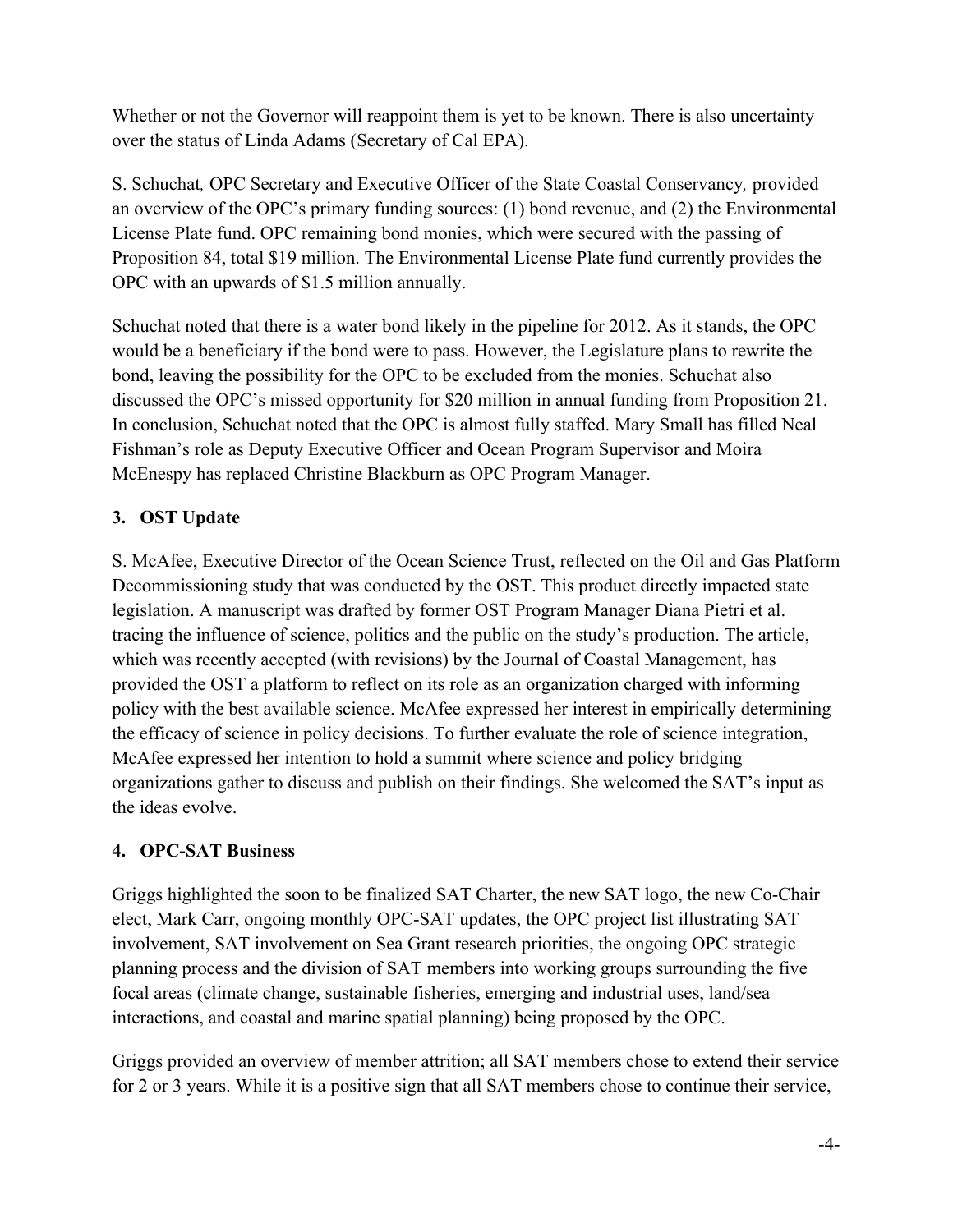Whether or not the Governor will reappoint them is yet to be known. There is also uncertainty over the status of Linda Adams (Secretary of Cal EPA).

S. Schuchat*,* OPC Secretary and Executive Officer of the State Coastal Conservancy*,* provided an overview of the OPC's primary funding sources: (1) bond revenue, and (2) the Environmental License Plate fund. OPC remaining bond monies, which were secured with the passing of Proposition 84, total \$19 million. The Environmental License Plate fund currently provides the OPC with an upwards of \$1.5 million annually.

Schuchat noted that there is a water bond likely in the pipeline for 2012. As it stands, the OPC would be a beneficiary if the bond were to pass. However, the Legislature plans to rewrite the bond, leaving the possibility for the OPC to be excluded from the monies. Schuchat also discussed the OPC's missed opportunity for \$20 million in annual funding from Proposition 21. In conclusion, Schuchat noted that the OPC is almost fully staffed. Mary Small has filled Neal Fishman's role as Deputy Executive Officer and Ocean Program Supervisor and Moira McEnespy has replaced Christine Blackburn as OPC Program Manager.

# **3. OST Update**

S. McAfee, Executive Director of the Ocean Science Trust, reflected on the Oil and Gas Platform Decommissioning study that was conducted by the OST. This product directly impacted state legislation. A manuscript was drafted by former OST Program Manager Diana Pietri et al. tracing the influence of science, politics and the public on the study's production. The article, which was recently accepted (with revisions) by the Journal of Coastal Management, has provided the OST a platform to reflect on its role as an organization charged with informing policy with the best available science. McAfee expressed her interest in empirically determining the efficacy of science in policy decisions. To further evaluate the role of science integration, McAfee expressed her intention to hold a summit where science and policy bridging organizations gather to discuss and publish on their findings. She welcomed the SAT's input as the ideas evolve.

### **4. OPC-SAT Business**

Griggs highlighted the soon to be finalized SAT Charter, the new SAT logo, the new Co-Chair elect, Mark Carr, ongoing monthly OPC-SAT updates, the OPC project list illustrating SAT involvement, SAT involvement on Sea Grant research priorities, the ongoing OPC strategic planning process and the division of SAT members into working groups surrounding the five focal areas (climate change, sustainable fisheries, emerging and industrial uses, land/sea interactions, and coastal and marine spatial planning) being proposed by the OPC.

Griggs provided an overview of member attrition; all SAT members chose to extend their service for 2 or 3 years. While it is a positive sign that all SAT members chose to continue their service,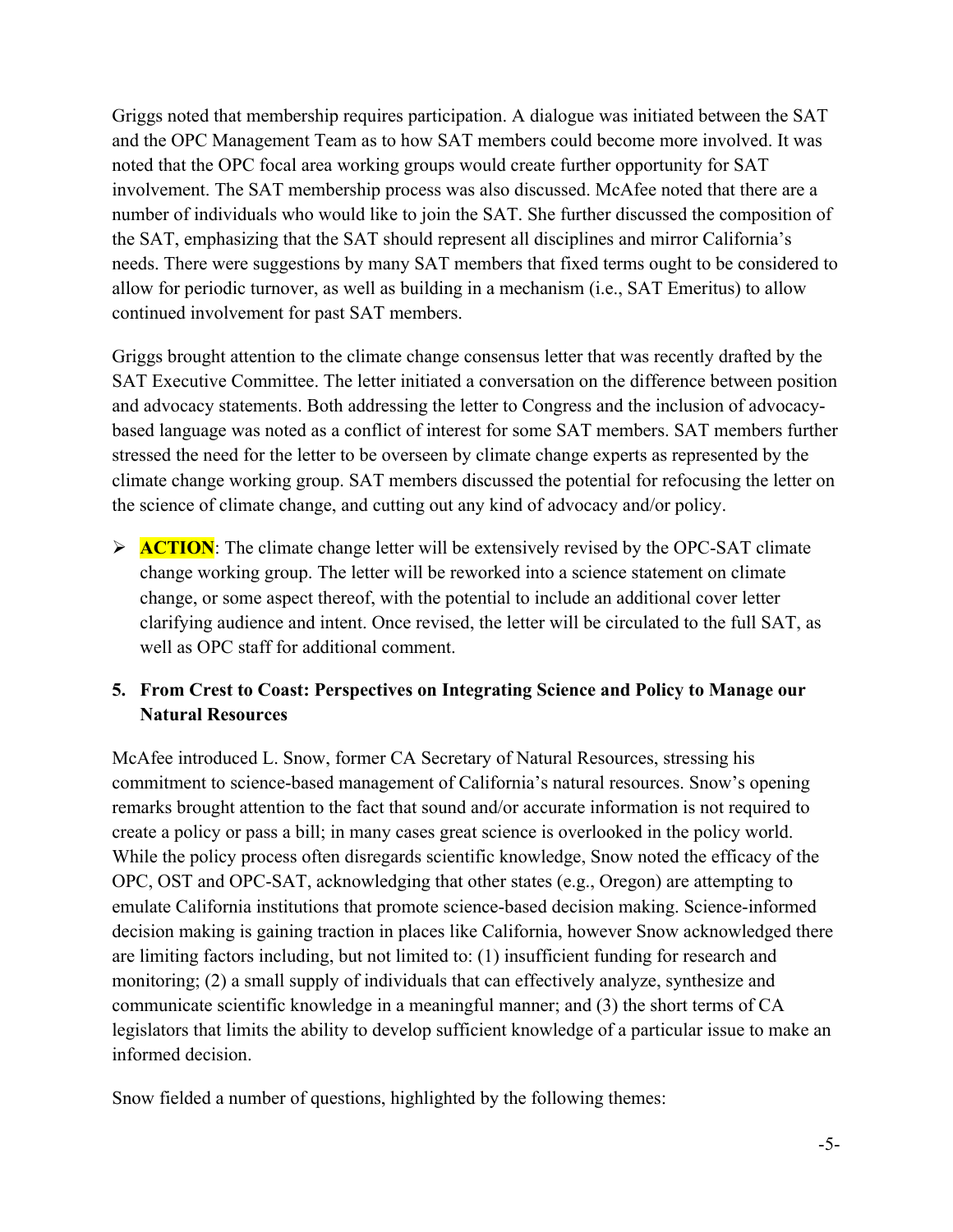Griggs noted that membership requires participation. A dialogue was initiated between the SAT and the OPC Management Team as to how SAT members could become more involved. It was noted that the OPC focal area working groups would create further opportunity for SAT involvement. The SAT membership process was also discussed. McAfee noted that there are a number of individuals who would like to join the SAT. She further discussed the composition of the SAT, emphasizing that the SAT should represent all disciplines and mirror California's needs. There were suggestions by many SAT members that fixed terms ought to be considered to allow for periodic turnover, as well as building in a mechanism (i.e., SAT Emeritus) to allow continued involvement for past SAT members.

Griggs brought attention to the climate change consensus letter that was recently drafted by the SAT Executive Committee. The letter initiated a conversation on the difference between position and advocacy statements. Both addressing the letter to Congress and the inclusion of advocacybased language was noted as a conflict of interest for some SAT members. SAT members further stressed the need for the letter to be overseen by climate change experts as represented by the climate change working group. SAT members discussed the potential for refocusing the letter on the science of climate change, and cutting out any kind of advocacy and/or policy.

**ACTION:** The climate change letter will be extensively revised by the OPC-SAT climate change working group. The letter will be reworked into a science statement on climate change, or some aspect thereof, with the potential to include an additional cover letter clarifying audience and intent. Once revised, the letter will be circulated to the full SAT, as well as OPC staff for additional comment.

### **5. From Crest to Coast: Perspectives on Integrating Science and Policy to Manage our Natural Resources**

McAfee introduced L. Snow, former CA Secretary of Natural Resources, stressing his commitment to science-based management of California's natural resources. Snow's opening remarks brought attention to the fact that sound and/or accurate information is not required to create a policy or pass a bill; in many cases great science is overlooked in the policy world. While the policy process often disregards scientific knowledge, Snow noted the efficacy of the OPC, OST and OPC-SAT, acknowledging that other states (e.g., Oregon) are attempting to emulate California institutions that promote science-based decision making. Science-informed decision making is gaining traction in places like California, however Snow acknowledged there are limiting factors including, but not limited to: (1) insufficient funding for research and monitoring; (2) a small supply of individuals that can effectively analyze, synthesize and communicate scientific knowledge in a meaningful manner; and (3) the short terms of CA legislators that limits the ability to develop sufficient knowledge of a particular issue to make an informed decision.

Snow fielded a number of questions, highlighted by the following themes: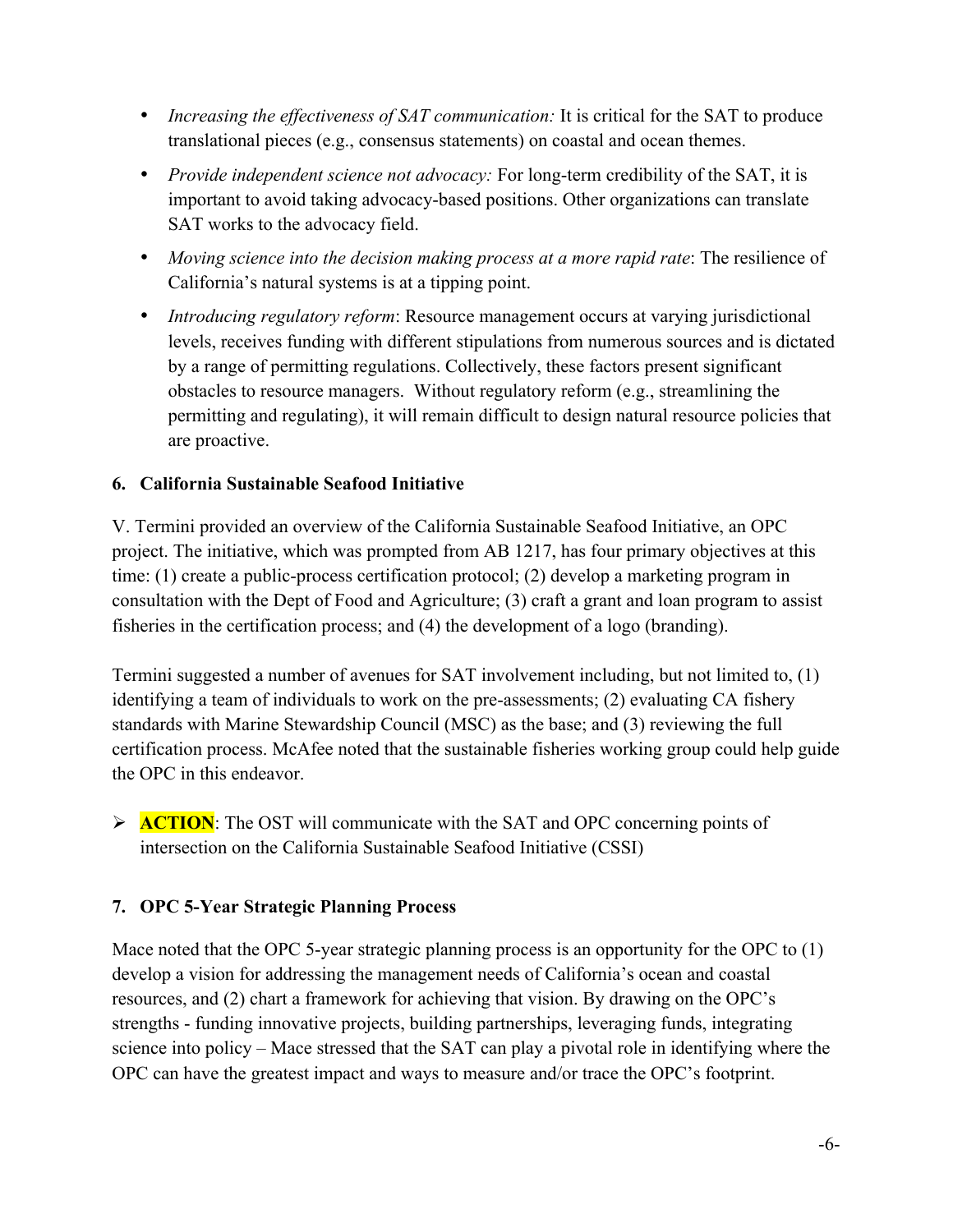- *Increasing the effectiveness of SAT communication:* It is critical for the SAT to produce translational pieces (e.g., consensus statements) on coastal and ocean themes.
- *Provide independent science not advocacy:* For long-term credibility of the SAT, it is important to avoid taking advocacy-based positions. Other organizations can translate SAT works to the advocacy field.
- *Moving science into the decision making process at a more rapid rate*: The resilience of California's natural systems is at a tipping point.
- *Introducing regulatory reform*: Resource management occurs at varying jurisdictional levels, receives funding with different stipulations from numerous sources and is dictated by a range of permitting regulations. Collectively, these factors present significant obstacles to resource managers. Without regulatory reform (e.g., streamlining the permitting and regulating), it will remain difficult to design natural resource policies that are proactive.

### **6. California Sustainable Seafood Initiative**

V. Termini provided an overview of the California Sustainable Seafood Initiative, an OPC project. The initiative, which was prompted from AB 1217, has four primary objectives at this time: (1) create a public-process certification protocol; (2) develop a marketing program in consultation with the Dept of Food and Agriculture; (3) craft a grant and loan program to assist fisheries in the certification process; and (4) the development of a logo (branding).

Termini suggested a number of avenues for SAT involvement including, but not limited to, (1) identifying a team of individuals to work on the pre-assessments; (2) evaluating CA fishery standards with Marine Stewardship Council (MSC) as the base; and (3) reviewing the full certification process. McAfee noted that the sustainable fisheries working group could help guide the OPC in this endeavor.

**ACTION:** The OST will communicate with the SAT and OPC concerning points of intersection on the California Sustainable Seafood Initiative (CSSI)

### **7. OPC 5-Year Strategic Planning Process**

Mace noted that the OPC 5-year strategic planning process is an opportunity for the OPC to (1) develop a vision for addressing the management needs of California's ocean and coastal resources, and (2) chart a framework for achieving that vision. By drawing on the OPC's strengths - funding innovative projects, building partnerships, leveraging funds, integrating science into policy – Mace stressed that the SAT can play a pivotal role in identifying where the OPC can have the greatest impact and ways to measure and/or trace the OPC's footprint.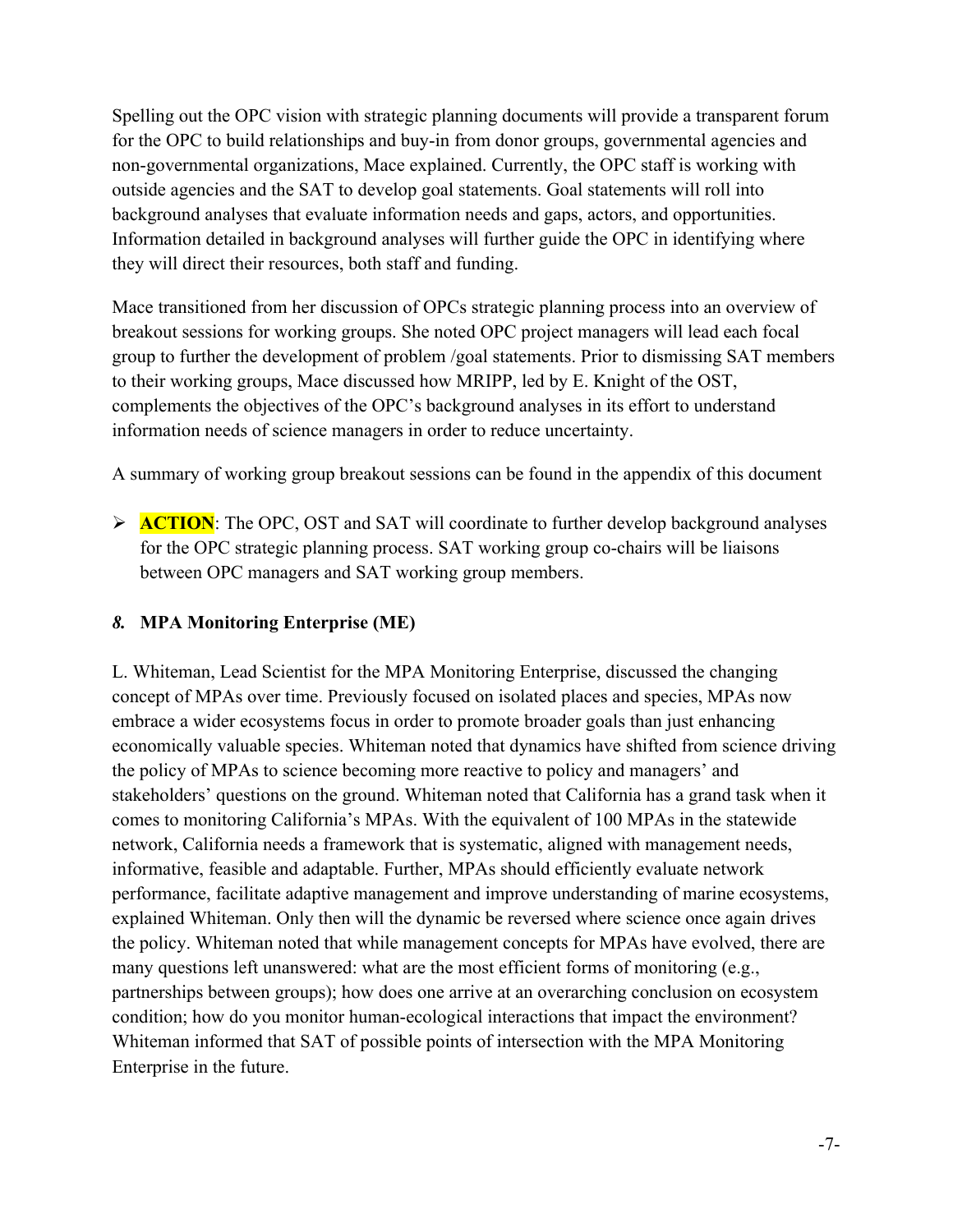Spelling out the OPC vision with strategic planning documents will provide a transparent forum for the OPC to build relationships and buy-in from donor groups, governmental agencies and non-governmental organizations, Mace explained. Currently, the OPC staff is working with outside agencies and the SAT to develop goal statements. Goal statements will roll into background analyses that evaluate information needs and gaps, actors, and opportunities. Information detailed in background analyses will further guide the OPC in identifying where they will direct their resources, both staff and funding.

Mace transitioned from her discussion of OPCs strategic planning process into an overview of breakout sessions for working groups. She noted OPC project managers will lead each focal group to further the development of problem /goal statements. Prior to dismissing SAT members to their working groups, Mace discussed how MRIPP, led by E. Knight of the OST, complements the objectives of the OPC's background analyses in its effort to understand information needs of science managers in order to reduce uncertainty.

A summary of working group breakout sessions can be found in the appendix of this document

**ACTION:** The OPC, OST and SAT will coordinate to further develop background analyses for the OPC strategic planning process. SAT working group co-chairs will be liaisons between OPC managers and SAT working group members.

# *8.* **MPA Monitoring Enterprise (ME)**

L. Whiteman, Lead Scientist for the MPA Monitoring Enterprise, discussed the changing concept of MPAs over time. Previously focused on isolated places and species, MPAs now embrace a wider ecosystems focus in order to promote broader goals than just enhancing economically valuable species. Whiteman noted that dynamics have shifted from science driving the policy of MPAs to science becoming more reactive to policy and managers' and stakeholders' questions on the ground. Whiteman noted that California has a grand task when it comes to monitoring California's MPAs. With the equivalent of 100 MPAs in the statewide network, California needs a framework that is systematic, aligned with management needs, informative, feasible and adaptable. Further, MPAs should efficiently evaluate network performance, facilitate adaptive management and improve understanding of marine ecosystems, explained Whiteman. Only then will the dynamic be reversed where science once again drives the policy. Whiteman noted that while management concepts for MPAs have evolved, there are many questions left unanswered: what are the most efficient forms of monitoring (e.g., partnerships between groups); how does one arrive at an overarching conclusion on ecosystem condition; how do you monitor human-ecological interactions that impact the environment? Whiteman informed that SAT of possible points of intersection with the MPA Monitoring Enterprise in the future.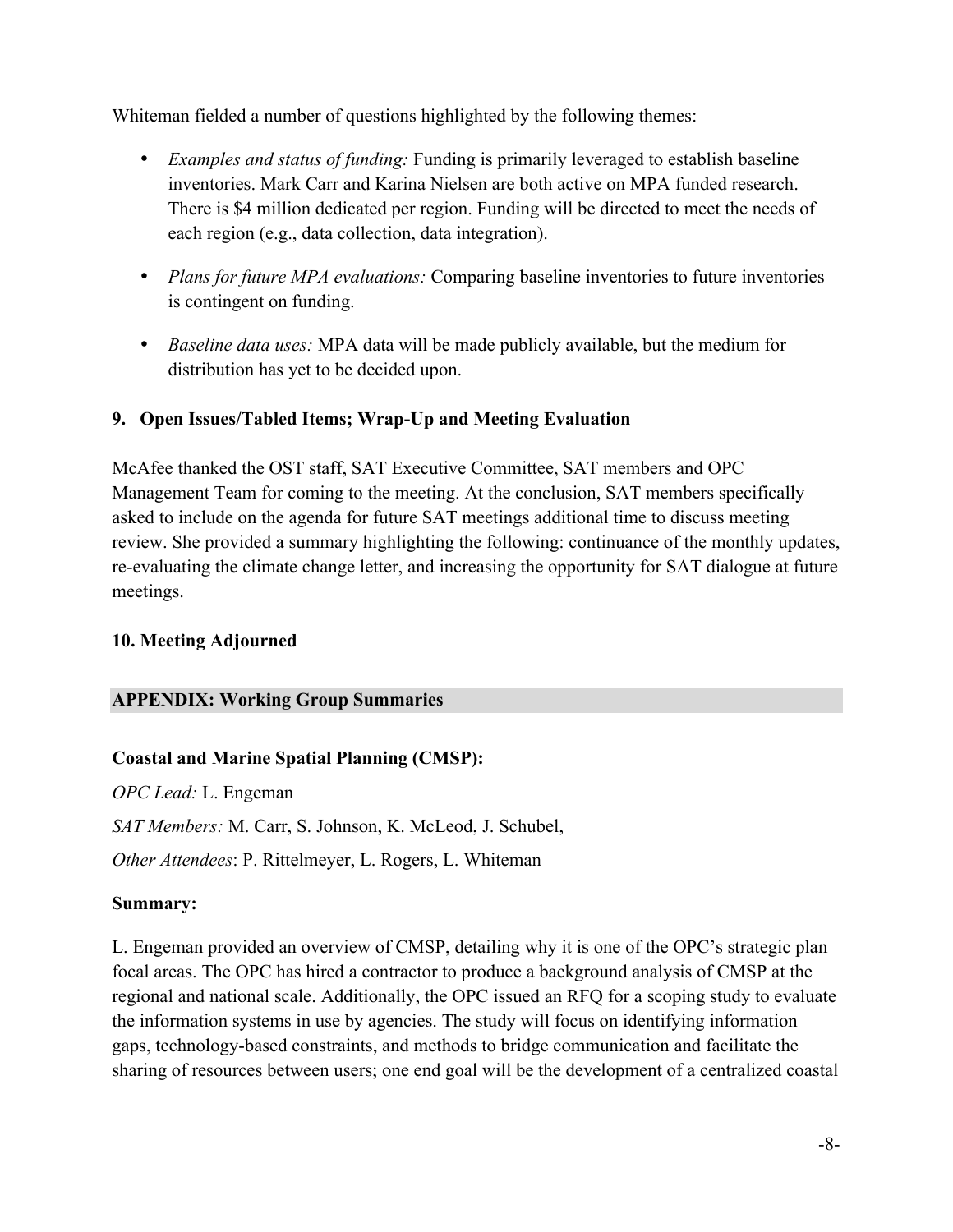Whiteman fielded a number of questions highlighted by the following themes:

- *Examples and status of funding:* Funding is primarily leveraged to establish baseline inventories. Mark Carr and Karina Nielsen are both active on MPA funded research. There is \$4 million dedicated per region. Funding will be directed to meet the needs of each region (e.g., data collection, data integration).
- *Plans for future MPA evaluations:* Comparing baseline inventories to future inventories is contingent on funding.
- *Baseline data uses:* MPA data will be made publicly available, but the medium for distribution has yet to be decided upon.

### **9. Open Issues/Tabled Items; Wrap-Up and Meeting Evaluation**

McAfee thanked the OST staff, SAT Executive Committee, SAT members and OPC Management Team for coming to the meeting. At the conclusion, SAT members specifically asked to include on the agenda for future SAT meetings additional time to discuss meeting review. She provided a summary highlighting the following: continuance of the monthly updates, re-evaluating the climate change letter, and increasing the opportunity for SAT dialogue at future meetings.

### **10. Meeting Adjourned**

#### **APPENDIX: Working Group Summaries**

### **Coastal and Marine Spatial Planning (CMSP):**

*OPC Lead:* L. Engeman *SAT Members:* M. Carr, S. Johnson, K. McLeod, J. Schubel, *Other Attendees*: P. Rittelmeyer, L. Rogers, L. Whiteman

#### **Summary:**

L. Engeman provided an overview of CMSP, detailing why it is one of the OPC's strategic plan focal areas. The OPC has hired a contractor to produce a background analysis of CMSP at the regional and national scale. Additionally, the OPC issued an RFQ for a scoping study to evaluate the information systems in use by agencies. The study will focus on identifying information gaps, technology-based constraints, and methods to bridge communication and facilitate the sharing of resources between users; one end goal will be the development of a centralized coastal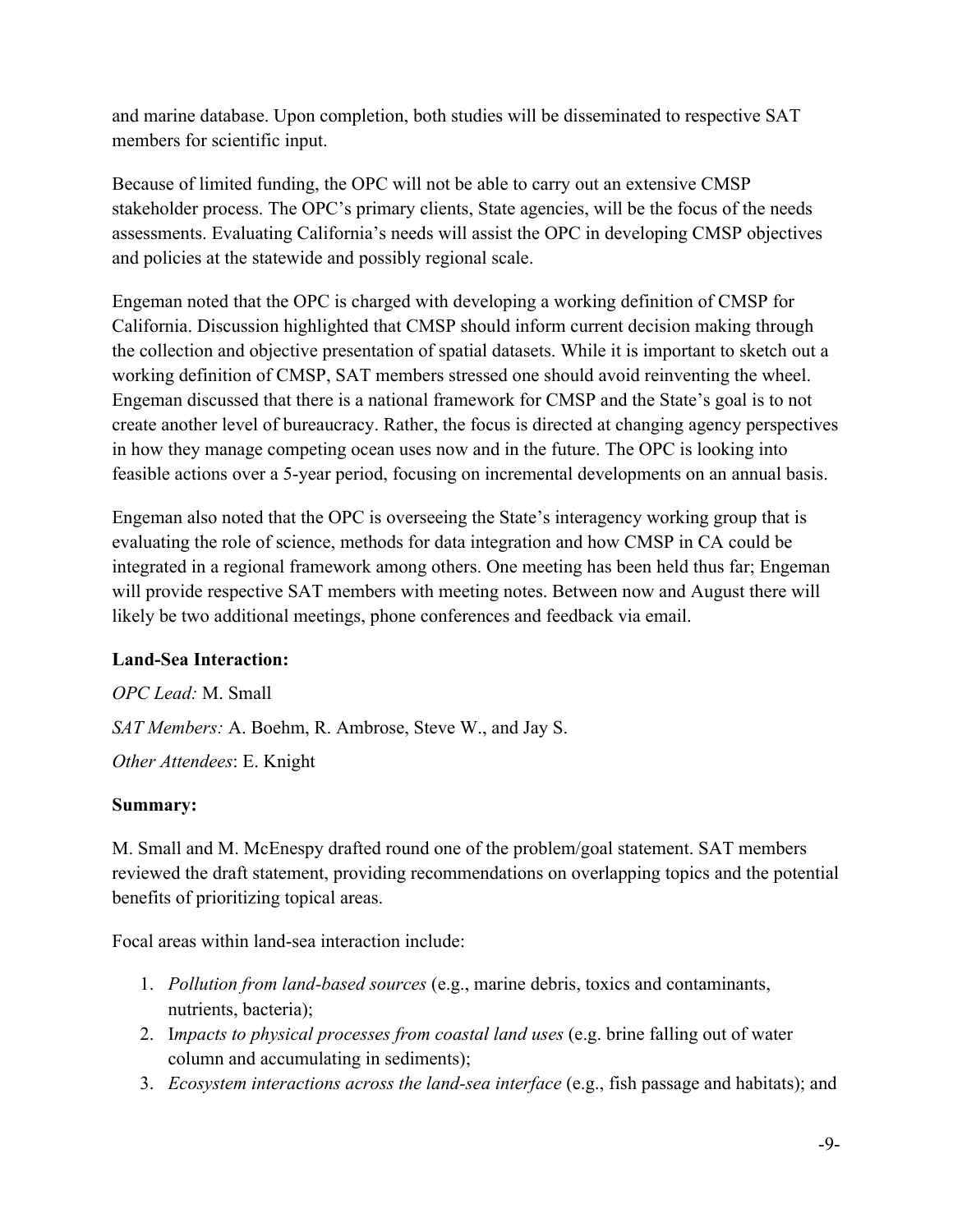and marine database. Upon completion, both studies will be disseminated to respective SAT members for scientific input.

Because of limited funding, the OPC will not be able to carry out an extensive CMSP stakeholder process. The OPC's primary clients, State agencies, will be the focus of the needs assessments. Evaluating California's needs will assist the OPC in developing CMSP objectives and policies at the statewide and possibly regional scale.

Engeman noted that the OPC is charged with developing a working definition of CMSP for California. Discussion highlighted that CMSP should inform current decision making through the collection and objective presentation of spatial datasets. While it is important to sketch out a working definition of CMSP, SAT members stressed one should avoid reinventing the wheel. Engeman discussed that there is a national framework for CMSP and the State's goal is to not create another level of bureaucracy. Rather, the focus is directed at changing agency perspectives in how they manage competing ocean uses now and in the future. The OPC is looking into feasible actions over a 5-year period, focusing on incremental developments on an annual basis.

Engeman also noted that the OPC is overseeing the State's interagency working group that is evaluating the role of science, methods for data integration and how CMSP in CA could be integrated in a regional framework among others. One meeting has been held thus far; Engeman will provide respective SAT members with meeting notes. Between now and August there will likely be two additional meetings, phone conferences and feedback via email.

### **Land-Sea Interaction:**

*OPC Lead:* M. Small *SAT Members:* A. Boehm, R. Ambrose, Steve W., and Jay S. *Other Attendees*: E. Knight

### **Summary:**

M. Small and M. McEnespy drafted round one of the problem/goal statement. SAT members reviewed the draft statement, providing recommendations on overlapping topics and the potential benefits of prioritizing topical areas.

Focal areas within land-sea interaction include:

- 1. *Pollution from land-based sources* (e.g., marine debris, toxics and contaminants, nutrients, bacteria);
- 2. I*mpacts to physical processes from coastal land uses* (e.g. brine falling out of water column and accumulating in sediments);
- 3. *Ecosystem interactions across the land-sea interface* (e.g., fish passage and habitats); and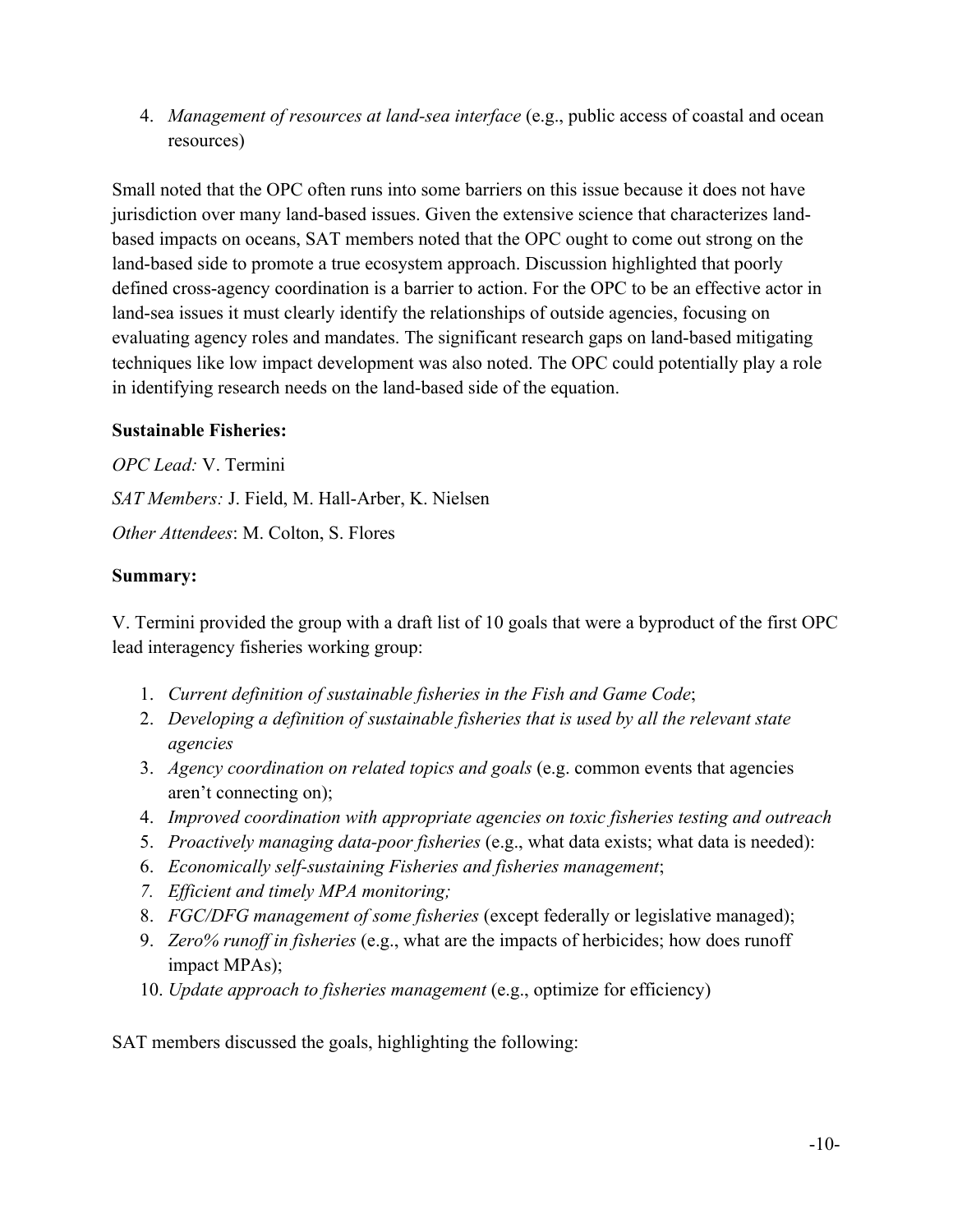4. *Management of resources at land-sea interface* (e.g., public access of coastal and ocean resources)

Small noted that the OPC often runs into some barriers on this issue because it does not have jurisdiction over many land-based issues. Given the extensive science that characterizes landbased impacts on oceans, SAT members noted that the OPC ought to come out strong on the land-based side to promote a true ecosystem approach. Discussion highlighted that poorly defined cross-agency coordination is a barrier to action. For the OPC to be an effective actor in land-sea issues it must clearly identify the relationships of outside agencies, focusing on evaluating agency roles and mandates. The significant research gaps on land-based mitigating techniques like low impact development was also noted. The OPC could potentially play a role in identifying research needs on the land-based side of the equation.

#### **Sustainable Fisheries:**

*OPC Lead:* V. Termini *SAT Members:* J. Field, M. Hall-Arber, K. Nielsen *Other Attendees*: M. Colton, S. Flores

### **Summary:**

V. Termini provided the group with a draft list of 10 goals that were a byproduct of the first OPC lead interagency fisheries working group:

- 1. *Current definition of sustainable fisheries in the Fish and Game Code*;
- 2. *Developing a definition of sustainable fisheries that is used by all the relevant state agencies*
- 3. *Agency coordination on related topics and goals* (e.g. common events that agencies aren't connecting on);
- 4. *Improved coordination with appropriate agencies on toxic fisheries testing and outreach*
- 5. *Proactively managing data-poor fisheries* (e.g., what data exists; what data is needed):
- 6. *Economically self-sustaining Fisheries and fisheries management*;
- *7. Efficient and timely MPA monitoring;*
- 8. *FGC/DFG management of some fisheries* (except federally or legislative managed);
- 9. *Zero% runoff in fisheries* (e.g., what are the impacts of herbicides; how does runoff impact MPAs);
- 10. *Update approach to fisheries management* (e.g., optimize for efficiency)

SAT members discussed the goals, highlighting the following: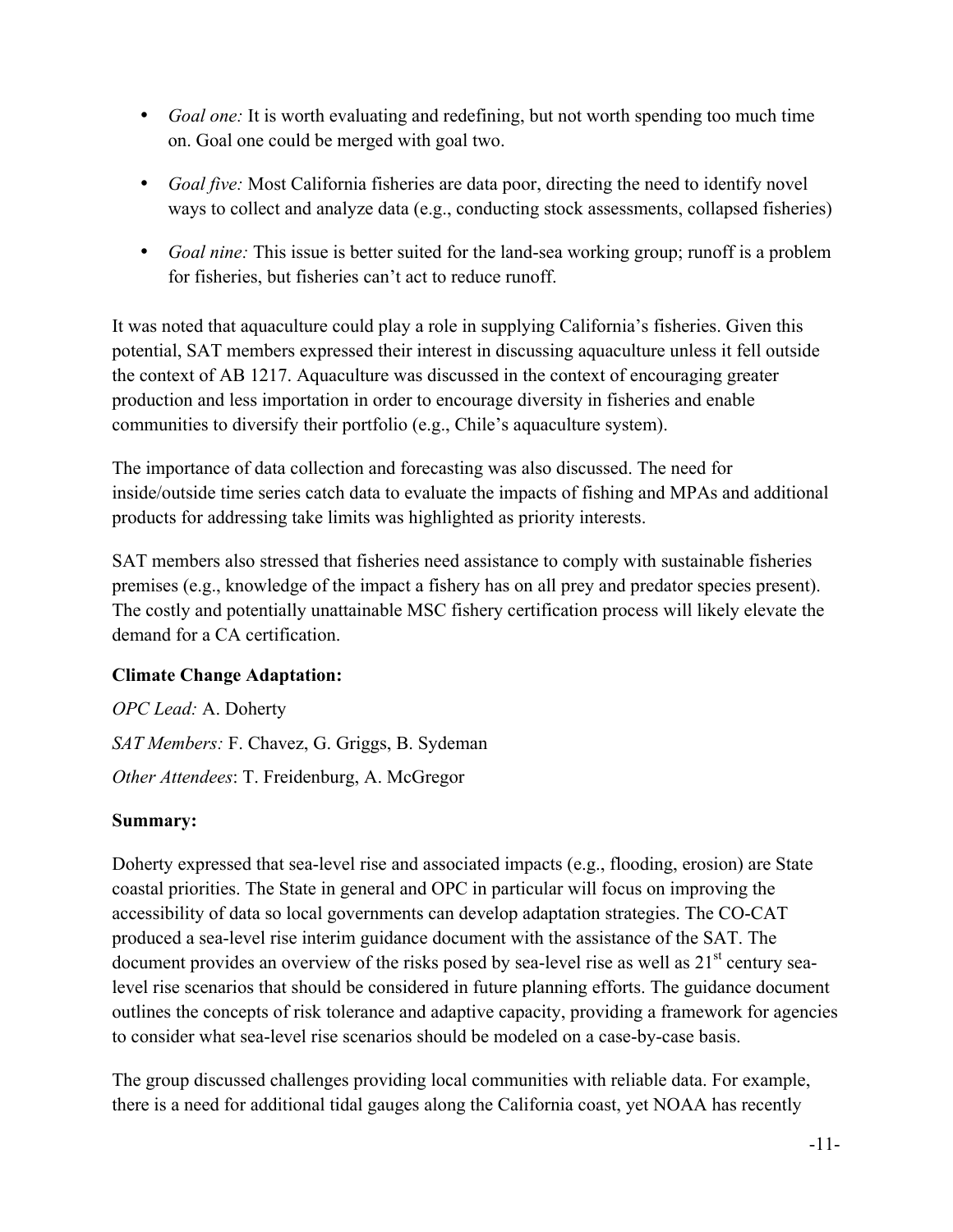- *Goal one:* It is worth evaluating and redefining, but not worth spending too much time on. Goal one could be merged with goal two.
- *Goal five:* Most California fisheries are data poor, directing the need to identify novel ways to collect and analyze data (e.g., conducting stock assessments, collapsed fisheries)
- *Goal nine:* This issue is better suited for the land-sea working group; runoff is a problem for fisheries, but fisheries can't act to reduce runoff.

It was noted that aquaculture could play a role in supplying California's fisheries. Given this potential, SAT members expressed their interest in discussing aquaculture unless it fell outside the context of AB 1217. Aquaculture was discussed in the context of encouraging greater production and less importation in order to encourage diversity in fisheries and enable communities to diversify their portfolio (e.g., Chile's aquaculture system).

The importance of data collection and forecasting was also discussed. The need for inside/outside time series catch data to evaluate the impacts of fishing and MPAs and additional products for addressing take limits was highlighted as priority interests.

SAT members also stressed that fisheries need assistance to comply with sustainable fisheries premises (e.g., knowledge of the impact a fishery has on all prey and predator species present). The costly and potentially unattainable MSC fishery certification process will likely elevate the demand for a CA certification.

### **Climate Change Adaptation:**

*OPC Lead:* A. Doherty *SAT Members:* F. Chavez, G. Griggs, B. Sydeman *Other Attendees*: T. Freidenburg, A. McGregor

### **Summary:**

Doherty expressed that sea-level rise and associated impacts (e.g., flooding, erosion) are State coastal priorities. The State in general and OPC in particular will focus on improving the accessibility of data so local governments can develop adaptation strategies. The CO-CAT produced a sea-level rise interim guidance document with the assistance of the SAT. The document provides an overview of the risks posed by sea-level rise as well as 21<sup>st</sup> century sealevel rise scenarios that should be considered in future planning efforts. The guidance document outlines the concepts of risk tolerance and adaptive capacity, providing a framework for agencies to consider what sea-level rise scenarios should be modeled on a case-by-case basis.

The group discussed challenges providing local communities with reliable data. For example, there is a need for additional tidal gauges along the California coast, yet NOAA has recently